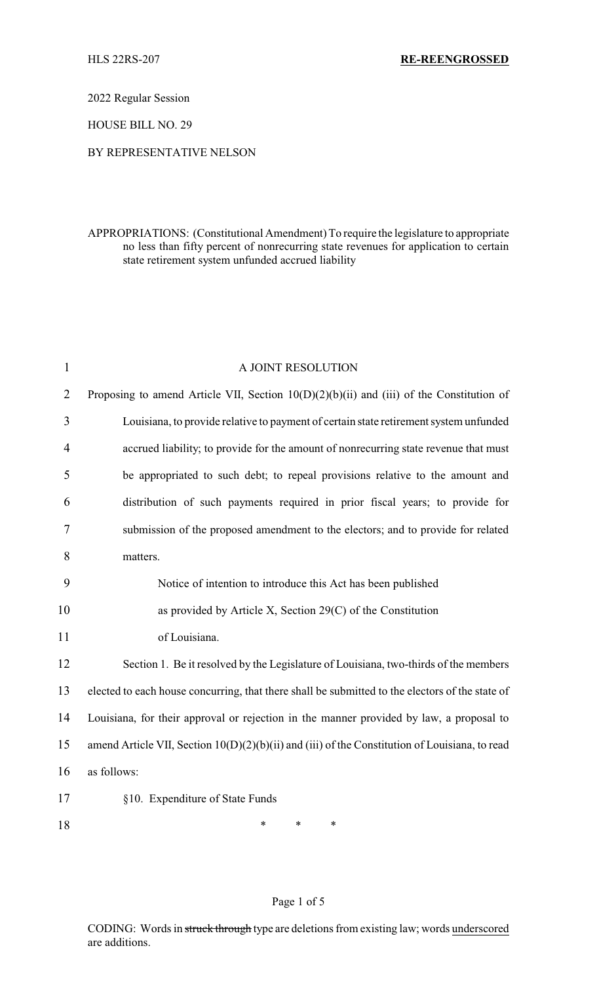2022 Regular Session

HOUSE BILL NO. 29

### BY REPRESENTATIVE NELSON

## APPROPRIATIONS: (Constitutional Amendment) To require the legislature to appropriate no less than fifty percent of nonrecurring state revenues for application to certain state retirement system unfunded accrued liability

| $\mathbf{1}$   | A JOINT RESOLUTION                                                                              |  |  |
|----------------|-------------------------------------------------------------------------------------------------|--|--|
| $\overline{2}$ | Proposing to amend Article VII, Section 10(D)(2)(b)(ii) and (iii) of the Constitution of        |  |  |
| 3              | Louisiana, to provide relative to payment of certain state retirement system unfunded           |  |  |
| 4              | accrued liability; to provide for the amount of nonrecurring state revenue that must            |  |  |
| 5              | be appropriated to such debt; to repeal provisions relative to the amount and                   |  |  |
| 6              | distribution of such payments required in prior fiscal years; to provide for                    |  |  |
| 7              | submission of the proposed amendment to the electors; and to provide for related                |  |  |
| 8              | matters.                                                                                        |  |  |
| 9              | Notice of intention to introduce this Act has been published                                    |  |  |
| 10             | as provided by Article X, Section $29(C)$ of the Constitution                                   |  |  |
| 11             | of Louisiana.                                                                                   |  |  |
| 12             | Section 1. Be it resolved by the Legislature of Louisiana, two-thirds of the members            |  |  |
| 13             | elected to each house concurring, that there shall be submitted to the electors of the state of |  |  |
| 14             | Louisiana, for their approval or rejection in the manner provided by law, a proposal to         |  |  |
| 15             | amend Article VII, Section 10(D)(2)(b)(ii) and (iii) of the Constitution of Louisiana, to read  |  |  |
| 16             | as follows:                                                                                     |  |  |
| 17             | §10. Expenditure of State Funds                                                                 |  |  |
| 18             | $\ast$<br>$\ast$<br>$\ast$                                                                      |  |  |

## Page 1 of 5

CODING: Words in struck through type are deletions from existing law; words underscored are additions.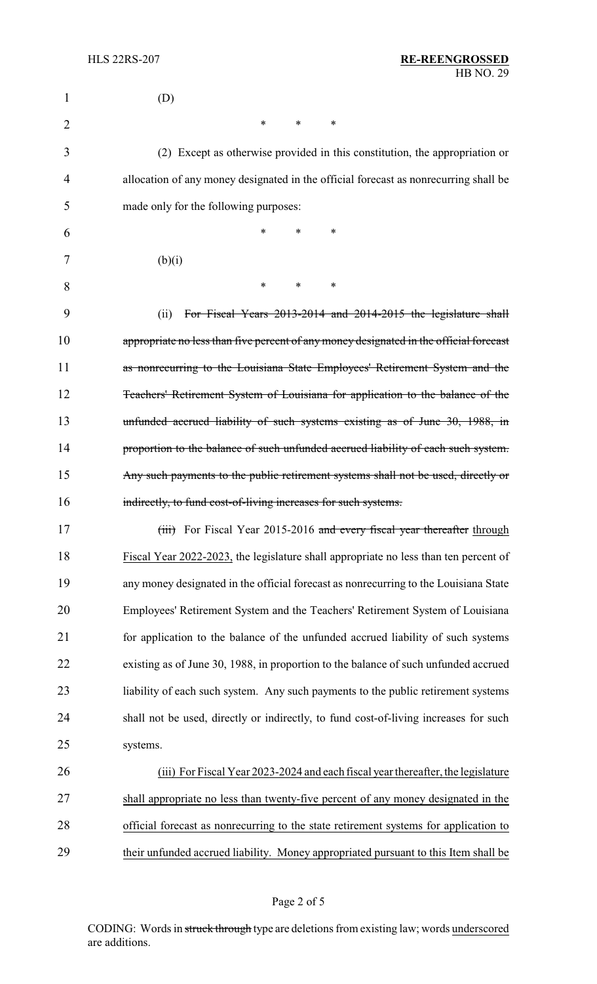| 1  | (D)                                                                                    |
|----|----------------------------------------------------------------------------------------|
| 2  | $\ast$<br>∗<br>∗                                                                       |
| 3  | (2) Except as otherwise provided in this constitution, the appropriation or            |
| 4  | allocation of any money designated in the official forecast as nonrecurring shall be   |
| 5  | made only for the following purposes:                                                  |
| 6  | $\ast$<br>*<br>$\ast$                                                                  |
| 7  | (b)(i)                                                                                 |
| 8  | $\ast$<br>$\ast$<br>∗                                                                  |
| 9  | For Fiscal Years 2013-2014 and 2014-2015 the legislature shall<br>(ii)                 |
| 10 | appropriate no less than five percent of any money designated in the official forecast |
| 11 | as nonrecurring to the Louisiana State Employees' Retirement System and the            |
| 12 | Teachers' Retirement System of Louisiana for application to the balance of the         |
| 13 | unfunded accrued liability of such systems existing as of June 30, 1988, in            |
| 14 | proportion to the balance of such unfunded accrued liability of each such system.      |
| 15 | Any such payments to the public retirement systems shall not be used, directly or      |
| 16 | indirectly, to fund cost-of-living increases for such systems.                         |
| 17 | (iii) For Fiscal Year 2015-2016 and every fiscal year thereafter through               |
| 18 | Fiscal Year 2022-2023, the legislature shall appropriate no less than ten percent of   |
| 19 | any money designated in the official forecast as nonrecurring to the Louisiana State   |
| 20 | Employees' Retirement System and the Teachers' Retirement System of Louisiana          |
| 21 | for application to the balance of the unfunded accrued liability of such systems       |
| 22 | existing as of June 30, 1988, in proportion to the balance of such unfunded accrued    |
| 23 | liability of each such system. Any such payments to the public retirement systems      |
| 24 | shall not be used, directly or indirectly, to fund cost-of-living increases for such   |
| 25 | systems.                                                                               |
| 26 | (iii) For Fiscal Year 2023-2024 and each fiscal year thereafter, the legislature       |
| 27 | shall appropriate no less than twenty-five percent of any money designated in the      |
| 28 | official forecast as nonrecurring to the state retirement systems for application to   |
| 29 | their unfunded accrued liability. Money appropriated pursuant to this Item shall be    |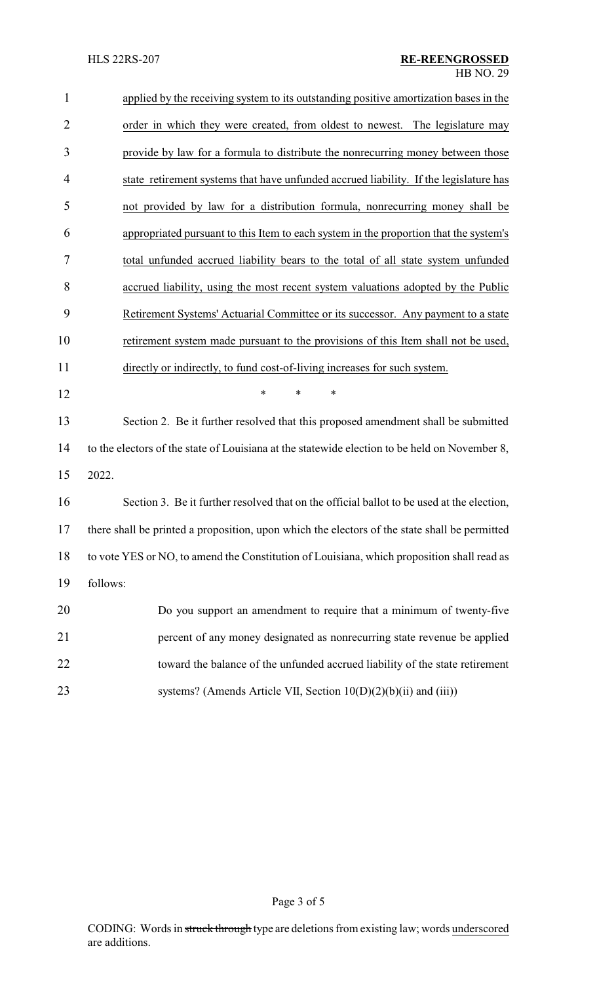| $\mathbf{1}$   | applied by the receiving system to its outstanding positive amortization bases in the         |
|----------------|-----------------------------------------------------------------------------------------------|
| $\overline{2}$ | order in which they were created, from oldest to newest. The legislature may                  |
| 3              | provide by law for a formula to distribute the nonrecurring money between those               |
| 4              | state retirement systems that have unfunded accrued liability. If the legislature has         |
| 5              | not provided by law for a distribution formula, nonrecurring money shall be                   |
| 6              | appropriated pursuant to this Item to each system in the proportion that the system's         |
| 7              | total unfunded accrued liability bears to the total of all state system unfunded              |
| 8              | accrued liability, using the most recent system valuations adopted by the Public              |
| 9              | Retirement Systems' Actuarial Committee or its successor. Any payment to a state              |
| 10             | retirement system made pursuant to the provisions of this Item shall not be used,             |
| 11             | directly or indirectly, to fund cost-of-living increases for such system.                     |
| 12             | ∗<br>*<br>∗                                                                                   |
| 13             | Section 2. Be it further resolved that this proposed amendment shall be submitted             |
| 14             | to the electors of the state of Louisiana at the statewide election to be held on November 8, |
| 15             | 2022.                                                                                         |
| 16             | Section 3. Be it further resolved that on the official ballot to be used at the election,     |
| 17             | there shall be printed a proposition, upon which the electors of the state shall be permitted |
| 18             | to vote YES or NO, to amend the Constitution of Louisiana, which proposition shall read as    |
| 19             | follows:                                                                                      |
| 20             | Do you support an amendment to require that a minimum of twenty-five                          |
| 21             | percent of any money designated as nonrecurring state revenue be applied                      |
| 22             | toward the balance of the unfunded accrued liability of the state retirement                  |
| 23             | systems? (Amends Article VII, Section 10(D)(2)(b)(ii) and (iii))                              |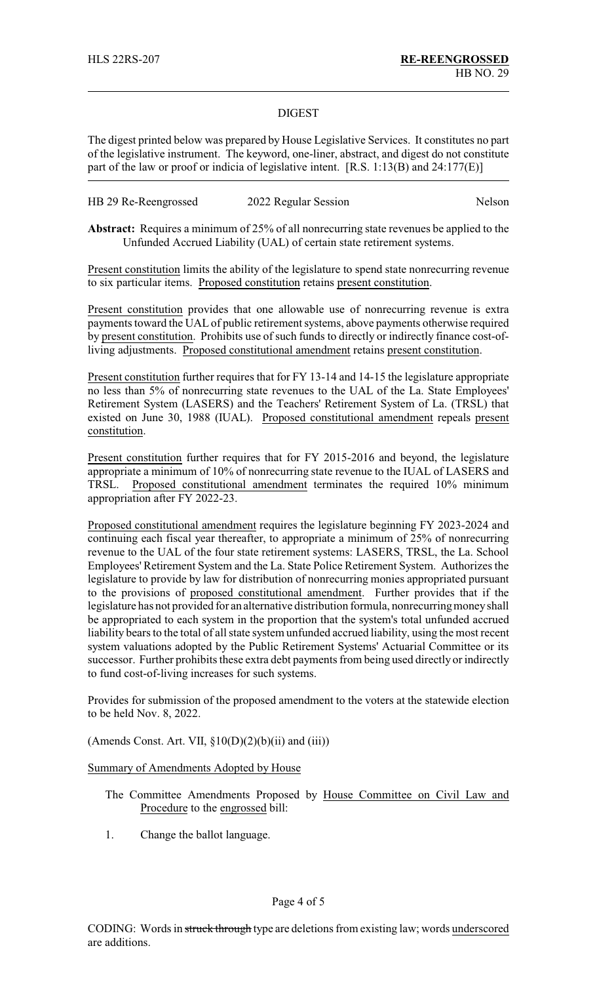### DIGEST

The digest printed below was prepared by House Legislative Services. It constitutes no part of the legislative instrument. The keyword, one-liner, abstract, and digest do not constitute part of the law or proof or indicia of legislative intent. [R.S. 1:13(B) and 24:177(E)]

| HB 29 Re-Reengrossed | 2022 Regular Session | Nelson |
|----------------------|----------------------|--------|
|----------------------|----------------------|--------|

**Abstract:** Requires a minimum of 25% of all nonrecurring state revenues be applied to the Unfunded Accrued Liability (UAL) of certain state retirement systems.

Present constitution limits the ability of the legislature to spend state nonrecurring revenue to six particular items. Proposed constitution retains present constitution.

Present constitution provides that one allowable use of nonrecurring revenue is extra payments toward the UAL of public retirement systems, above payments otherwise required by present constitution. Prohibits use of such funds to directly or indirectly finance cost-ofliving adjustments. Proposed constitutional amendment retains present constitution.

Present constitution further requires that for FY 13-14 and 14-15 the legislature appropriate no less than 5% of nonrecurring state revenues to the UAL of the La. State Employees' Retirement System (LASERS) and the Teachers' Retirement System of La. (TRSL) that existed on June 30, 1988 (IUAL). Proposed constitutional amendment repeals present constitution.

Present constitution further requires that for FY 2015-2016 and beyond, the legislature appropriate a minimum of 10% of nonrecurring state revenue to the IUAL of LASERS and TRSL. Proposed constitutional amendment terminates the required 10% minimum appropriation after FY 2022-23.

Proposed constitutional amendment requires the legislature beginning FY 2023-2024 and continuing each fiscal year thereafter, to appropriate a minimum of 25% of nonrecurring revenue to the UAL of the four state retirement systems: LASERS, TRSL, the La. School Employees' Retirement System and the La. State Police Retirement System. Authorizes the legislature to provide by law for distribution of nonrecurring monies appropriated pursuant to the provisions of proposed constitutional amendment. Further provides that if the legislature has not provided for an alternative distribution formula, nonrecurring money shall be appropriated to each system in the proportion that the system's total unfunded accrued liability bears to the total of all state system unfunded accrued liability, using the most recent system valuations adopted by the Public Retirement Systems' Actuarial Committee or its successor. Further prohibits these extra debt payments from being used directly or indirectly to fund cost-of-living increases for such systems.

Provides for submission of the proposed amendment to the voters at the statewide election to be held Nov. 8, 2022.

(Amends Const. Art. VII,  $\S10(D)(2)(b)(ii)$  and  $(iii)$ )

Summary of Amendments Adopted by House

- The Committee Amendments Proposed by House Committee on Civil Law and Procedure to the engrossed bill:
- 1. Change the ballot language.